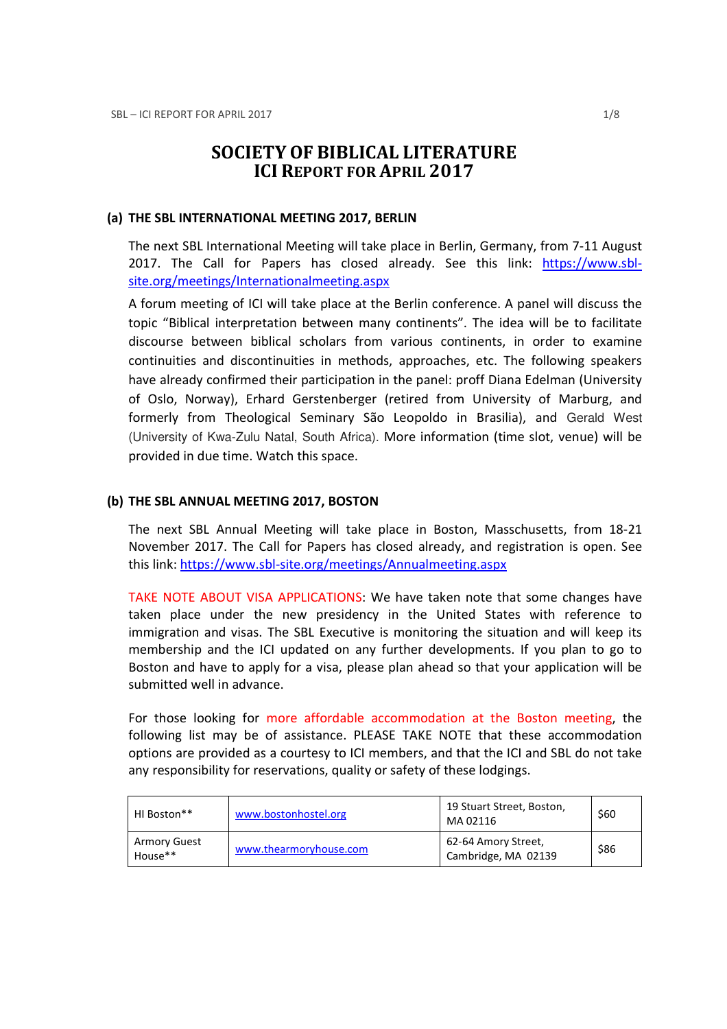# SOCIETY OF BIBLICAL LITERATURE ICI REPORT FOR APRIL 2017

#### (a) THE SBL INTERNATIONAL MEETING 2017, BERLIN

The next SBL International Meeting will take place in Berlin, Germany, from 7-11 August 2017. The Call for Papers has closed already. See this link: https://www.sblsite.org/meetings/Internationalmeeting.aspx

A forum meeting of ICI will take place at the Berlin conference. A panel will discuss the topic "Biblical interpretation between many continents". The idea will be to facilitate discourse between biblical scholars from various continents, in order to examine continuities and discontinuities in methods, approaches, etc. The following speakers have already confirmed their participation in the panel: proff Diana Edelman (University of Oslo, Norway), Erhard Gerstenberger (retired from University of Marburg, and formerly from Theological Seminary São Leopoldo in Brasilia), and Gerald West (University of Kwa-Zulu Natal, South Africa). More information (time slot, venue) will be provided in due time. Watch this space.

## (b) THE SBL ANNUAL MEETING 2017, BOSTON

The next SBL Annual Meeting will take place in Boston, Masschusetts, from 18-21 November 2017. The Call for Papers has closed already, and registration is open. See this link: https://www.sbl-site.org/meetings/Annualmeeting.aspx

TAKE NOTE ABOUT VISA APPLICATIONS: We have taken note that some changes have taken place under the new presidency in the United States with reference to immigration and visas. The SBL Executive is monitoring the situation and will keep its membership and the ICI updated on any further developments. If you plan to go to Boston and have to apply for a visa, please plan ahead so that your application will be submitted well in advance.

For those looking for more affordable accommodation at the Boston meeting, the following list may be of assistance. PLEASE TAKE NOTE that these accommodation options are provided as a courtesy to ICI members, and that the ICI and SBL do not take any responsibility for reservations, quality or safety of these lodgings.

| HI Boston**             | www.bostonhostel.org   | 19 Stuart Street, Boston,<br>MA 02116      | \$60 |
|-------------------------|------------------------|--------------------------------------------|------|
| Armory Guest<br>House** | www.thearmoryhouse.com | 62-64 Amory Street,<br>Cambridge, MA 02139 | \$86 |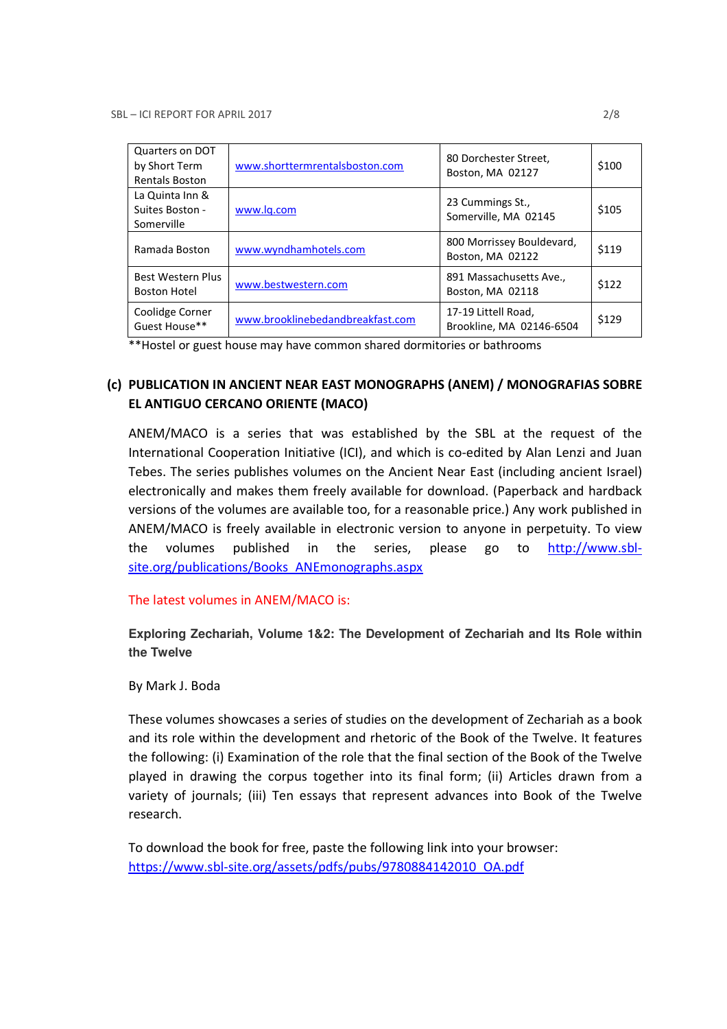| Quarters on DOT<br>by Short Term<br><b>Rentals Boston</b> | www.shorttermrentalsboston.com   | 80 Dorchester Street,<br>Boston, MA 02127       | \$100 |
|-----------------------------------------------------------|----------------------------------|-------------------------------------------------|-------|
| La Quinta Inn &<br>Suites Boston -<br>Somerville          | www.lg.com                       | 23 Cummings St.,<br>Somerville, MA 02145        | \$105 |
| Ramada Boston                                             | www.wyndhamhotels.com            | 800 Morrissey Bouldevard,<br>Boston, MA 02122   | \$119 |
| Best Western Plus<br><b>Boston Hotel</b>                  | www.bestwestern.com              | 891 Massachusetts Ave.,<br>Boston, MA 02118     | \$122 |
| Coolidge Corner<br>Guest House**                          | www.brooklinebedandbreakfast.com | 17-19 Littell Road,<br>Brookline, MA 02146-6504 | \$129 |

\*\*Hostel or guest house may have common shared dormitories or bathrooms

## (c) PUBLICATION IN ANCIENT NEAR EAST MONOGRAPHS (ANEM) / MONOGRAFIAS SOBRE EL ANTIGUO CERCANO ORIENTE (MACO)

ANEM/MACO is a series that was established by the SBL at the request of the International Cooperation Initiative (ICI), and which is co-edited by Alan Lenzi and Juan Tebes. The series publishes volumes on the Ancient Near East (including ancient Israel) electronically and makes them freely available for download. (Paperback and hardback versions of the volumes are available too, for a reasonable price.) Any work published in ANEM/MACO is freely available in electronic version to anyone in perpetuity. To view the volumes published in the series, please go to http://www.sblsite.org/publications/Books\_ANEmonographs.aspx

The latest volumes in ANEM/MACO is:

**Exploring Zechariah, Volume 1&2: The Development of Zechariah and Its Role within the Twelve** 

By Mark J. Boda

These volumes showcases a series of studies on the development of Zechariah as a book and its role within the development and rhetoric of the Book of the Twelve. It features the following: (i) Examination of the role that the final section of the Book of the Twelve played in drawing the corpus together into its final form; (ii) Articles drawn from a variety of journals; (iii) Ten essays that represent advances into Book of the Twelve research.

To download the book for free, paste the following link into your browser: https://www.sbl-site.org/assets/pdfs/pubs/9780884142010\_OA.pdf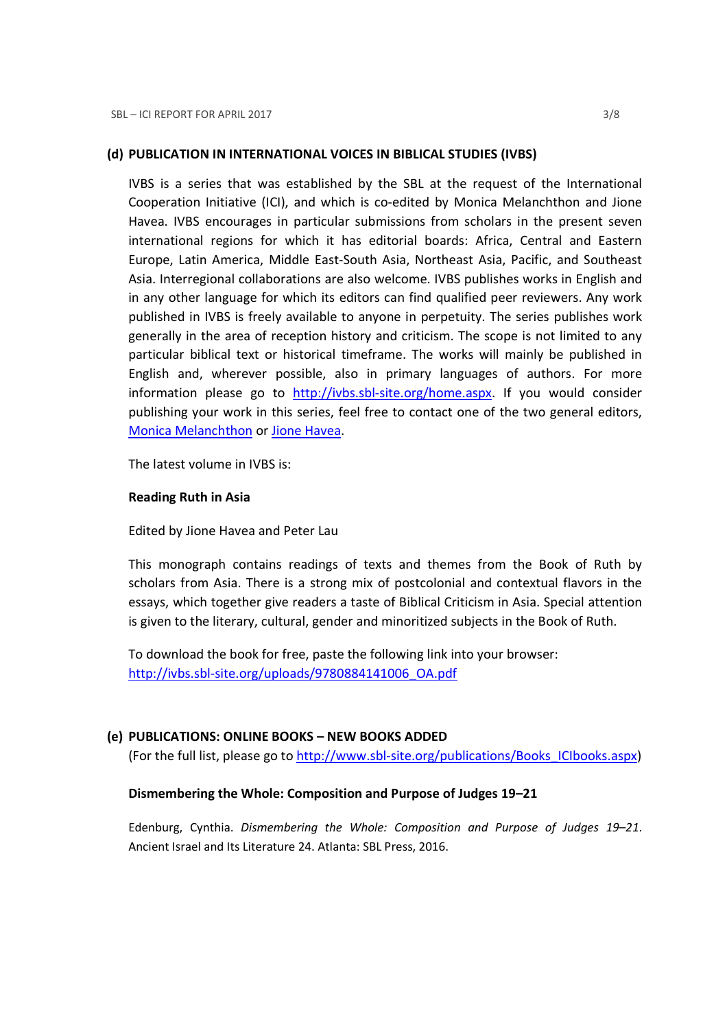#### (d) PUBLICATION IN INTERNATIONAL VOICES IN BIBLICAL STUDIES (IVBS)

IVBS is a series that was established by the SBL at the request of the International Cooperation Initiative (ICI), and which is co-edited by Monica Melanchthon and Jione Havea. IVBS encourages in particular submissions from scholars in the present seven international regions for which it has editorial boards: Africa, Central and Eastern Europe, Latin America, Middle East-South Asia, Northeast Asia, Pacific, and Southeast Asia. Interregional collaborations are also welcome. IVBS publishes works in English and in any other language for which its editors can find qualified peer reviewers. Any work published in IVBS is freely available to anyone in perpetuity. The series publishes work generally in the area of reception history and criticism. The scope is not limited to any particular biblical text or historical timeframe. The works will mainly be published in English and, wherever possible, also in primary languages of authors. For more information please go to http://ivbs.sbl-site.org/home.aspx. If you would consider publishing your work in this series, feel free to contact one of the two general editors, Monica Melanchthon or Jione Havea.

The latest volume in IVBS is:

#### Reading Ruth in Asia

Edited by Jione Havea and Peter Lau

This monograph contains readings of texts and themes from the Book of Ruth by scholars from Asia. There is a strong mix of postcolonial and contextual flavors in the essays, which together give readers a taste of Biblical Criticism in Asia. Special attention is given to the literary, cultural, gender and minoritized subjects in the Book of Ruth.

To download the book for free, paste the following link into your browser: http://ivbs.sbl-site.org/uploads/9780884141006\_OA.pdf

## (e) PUBLICATIONS: ONLINE BOOKS – NEW BOOKS ADDED

(For the full list, please go to http://www.sbl-site.org/publications/Books\_ICIbooks.aspx)

#### Dismembering the Whole: Composition and Purpose of Judges 19–21

Edenburg, Cynthia. Dismembering the Whole: Composition and Purpose of Judges 19–21. Ancient Israel and Its Literature 24. Atlanta: SBL Press, 2016.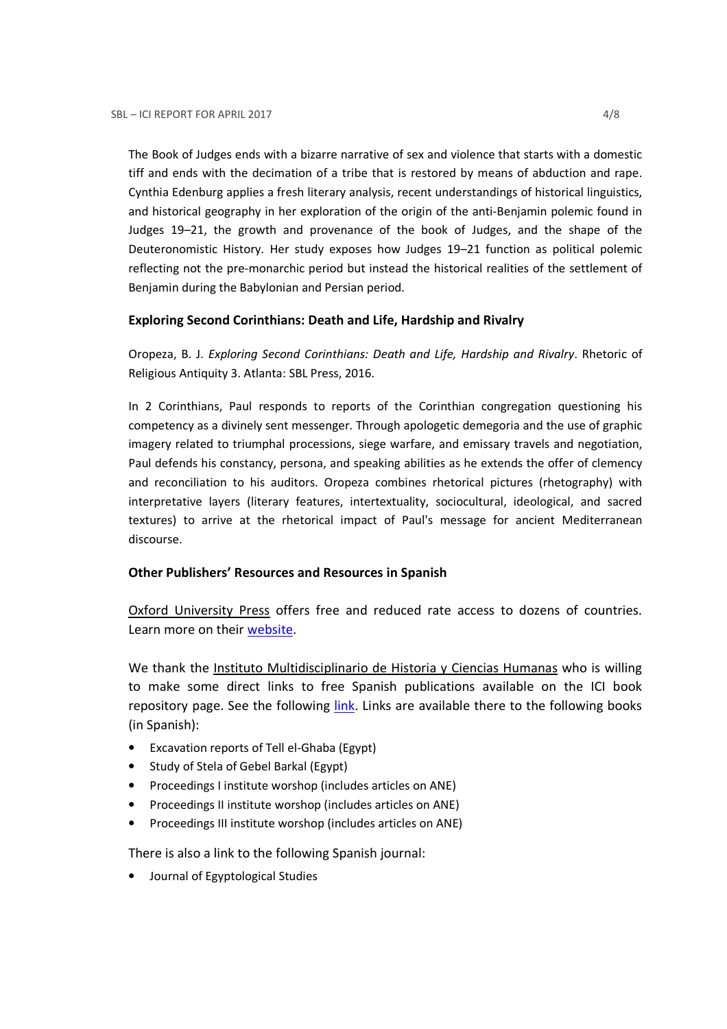The Book of Judges ends with a bizarre narrative of sex and violence that starts with a domestic tiff and ends with the decimation of a tribe that is restored by means of abduction and rape. Cynthia Edenburg applies a fresh literary analysis, recent understandings of historical linguistics, and historical geography in her exploration of the origin of the anti-Benjamin polemic found in Judges 19–21, the growth and provenance of the book of Judges, and the shape of the Deuteronomistic History. Her study exposes how Judges 19–21 function as political polemic reflecting not the pre-monarchic period but instead the historical realities of the settlement of Benjamin during the Babylonian and Persian period.

## Exploring Second Corinthians: Death and Life, Hardship and Rivalry

Oropeza, B. J. Exploring Second Corinthians: Death and Life, Hardship and Rivalry. Rhetoric of Religious Antiquity 3. Atlanta: SBL Press, 2016.

In 2 Corinthians, Paul responds to reports of the Corinthian congregation questioning his competency as a divinely sent messenger. Through apologetic demegoria and the use of graphic imagery related to triumphal processions, siege warfare, and emissary travels and negotiation, Paul defends his constancy, persona, and speaking abilities as he extends the offer of clemency and reconciliation to his auditors. Oropeza combines rhetorical pictures (rhetography) with interpretative layers (literary features, intertextuality, sociocultural, ideological, and sacred textures) to arrive at the rhetorical impact of Paul's message for ancient Mediterranean discourse.

## Other Publishers' Resources and Resources in Spanish

Oxford University Press offers free and reduced rate access to dozens of countries. Learn more on their website.

We thank the Instituto Multidisciplinario de Historia y Ciencias Humanas who is willing to make some direct links to free Spanish publications available on the ICI book repository page. See the following link. Links are available there to the following books (in Spanish):

- Excavation reports of Tell el-Ghaba (Egypt)
- Study of Stela of Gebel Barkal (Egypt)
- Proceedings I institute worshop (includes articles on ANE)
- Proceedings II institute worshop (includes articles on ANE)
- Proceedings III institute worshop (includes articles on ANE)

There is also a link to the following Spanish journal:

• Journal of Egyptological Studies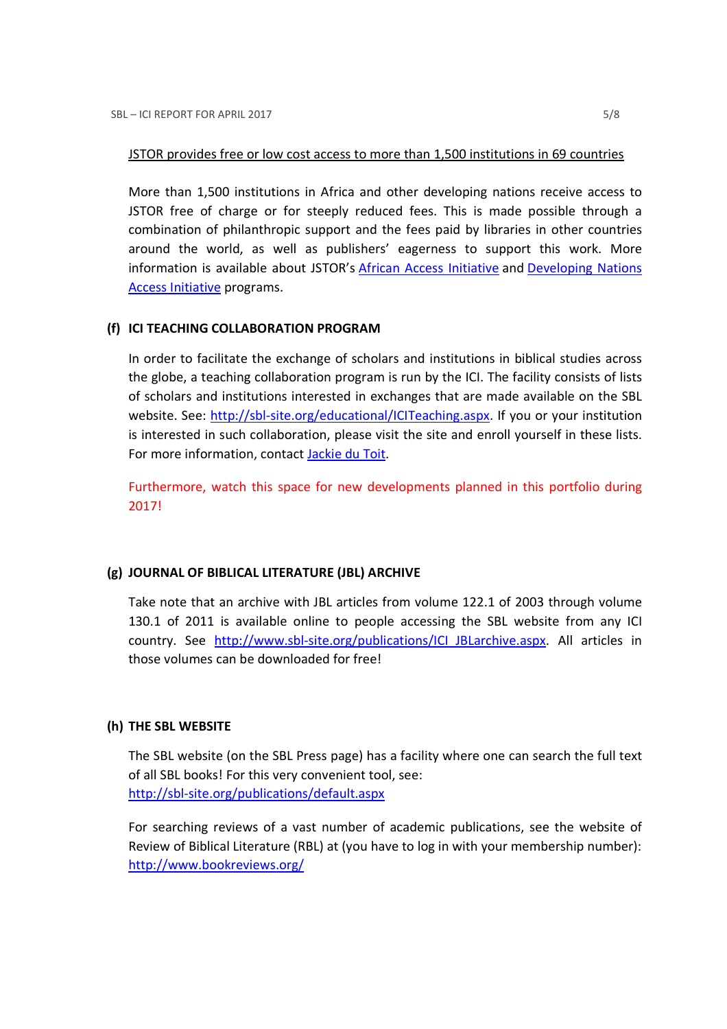#### JSTOR provides free or low cost access to more than 1,500 institutions in 69 countries

More than 1,500 institutions in Africa and other developing nations receive access to JSTOR free of charge or for steeply reduced fees. This is made possible through a combination of philanthropic support and the fees paid by libraries in other countries around the world, as well as publishers' eagerness to support this work. More information is available about JSTOR's African Access Initiative and Developing Nations Access Initiative programs.

## (f) ICI TEACHING COLLABORATION PROGRAM

In order to facilitate the exchange of scholars and institutions in biblical studies across the globe, a teaching collaboration program is run by the ICI. The facility consists of lists of scholars and institutions interested in exchanges that are made available on the SBL website. See: http://sbl-site.org/educational/ICITeaching.aspx. If you or your institution is interested in such collaboration, please visit the site and enroll yourself in these lists. For more information, contact Jackie du Toit.

Furthermore, watch this space for new developments planned in this portfolio during 2017!

## (g) JOURNAL OF BIBLICAL LITERATURE (JBL) ARCHIVE

Take note that an archive with JBL articles from volume 122.1 of 2003 through volume 130.1 of 2011 is available online to people accessing the SBL website from any ICI country. See http://www.sbl-site.org/publications/ICI\_JBLarchive.aspx. All articles in those volumes can be downloaded for free!

## (h) THE SBL WEBSITE

The SBL website (on the SBL Press page) has a facility where one can search the full text of all SBL books! For this very convenient tool, see: http://sbl-site.org/publications/default.aspx

For searching reviews of a vast number of academic publications, see the website of Review of Biblical Literature (RBL) at (you have to log in with your membership number): http://www.bookreviews.org/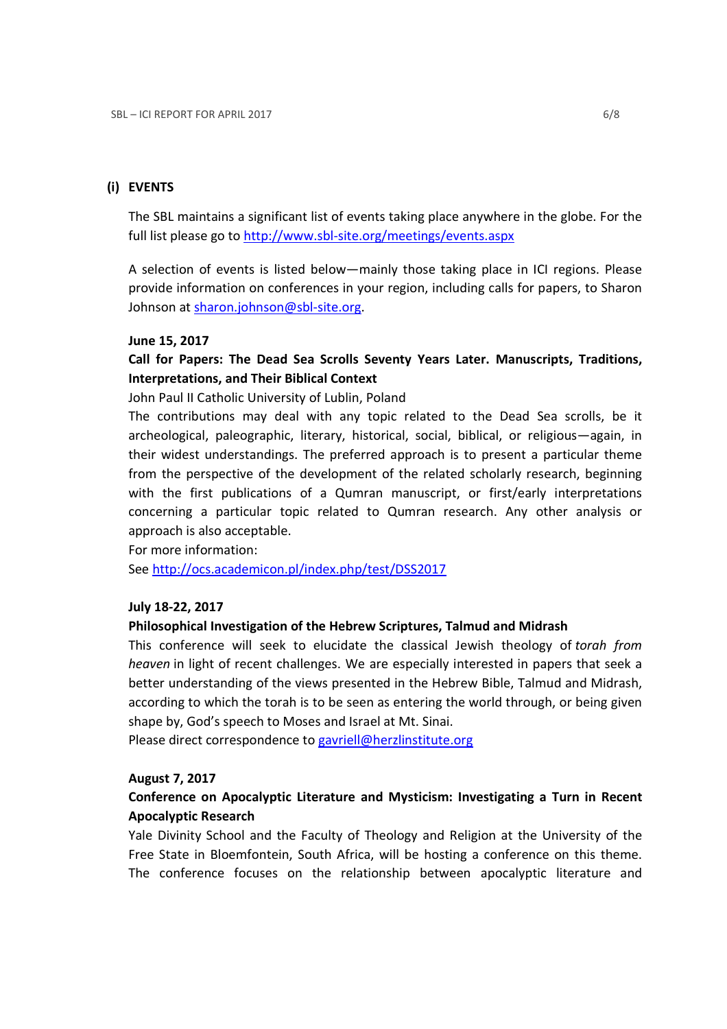## (i) EVENTS

The SBL maintains a significant list of events taking place anywhere in the globe. For the full list please go to http://www.sbl-site.org/meetings/events.aspx

A selection of events is listed below—mainly those taking place in ICI regions. Please provide information on conferences in your region, including calls for papers, to Sharon Johnson at sharon.johnson@sbl-site.org.

## June 15, 2017

## Call for Papers: The Dead Sea Scrolls Seventy Years Later. Manuscripts, Traditions, Interpretations, and Their Biblical Context

John Paul II Catholic University of Lublin, Poland

The contributions may deal with any topic related to the Dead Sea scrolls, be it archeological, paleographic, literary, historical, social, biblical, or religious—again, in their widest understandings. The preferred approach is to present a particular theme from the perspective of the development of the related scholarly research, beginning with the first publications of a Qumran manuscript, or first/early interpretations concerning a particular topic related to Qumran research. Any other analysis or approach is also acceptable.

For more information:

See http://ocs.academicon.pl/index.php/test/DSS2017

#### July 18-22, 2017

#### Philosophical Investigation of the Hebrew Scriptures, Talmud and Midrash

This conference will seek to elucidate the classical Jewish theology of torah from heaven in light of recent challenges. We are especially interested in papers that seek a better understanding of the views presented in the Hebrew Bible, Talmud and Midrash, according to which the torah is to be seen as entering the world through, or being given shape by, God's speech to Moses and Israel at Mt. Sinai.

Please direct correspondence to gavriell@herzlinstitute.org

#### August 7, 2017

## Conference on Apocalyptic Literature and Mysticism: Investigating a Turn in Recent Apocalyptic Research

Yale Divinity School and the Faculty of Theology and Religion at the University of the Free State in Bloemfontein, South Africa, will be hosting a conference on this theme. The conference focuses on the relationship between apocalyptic literature and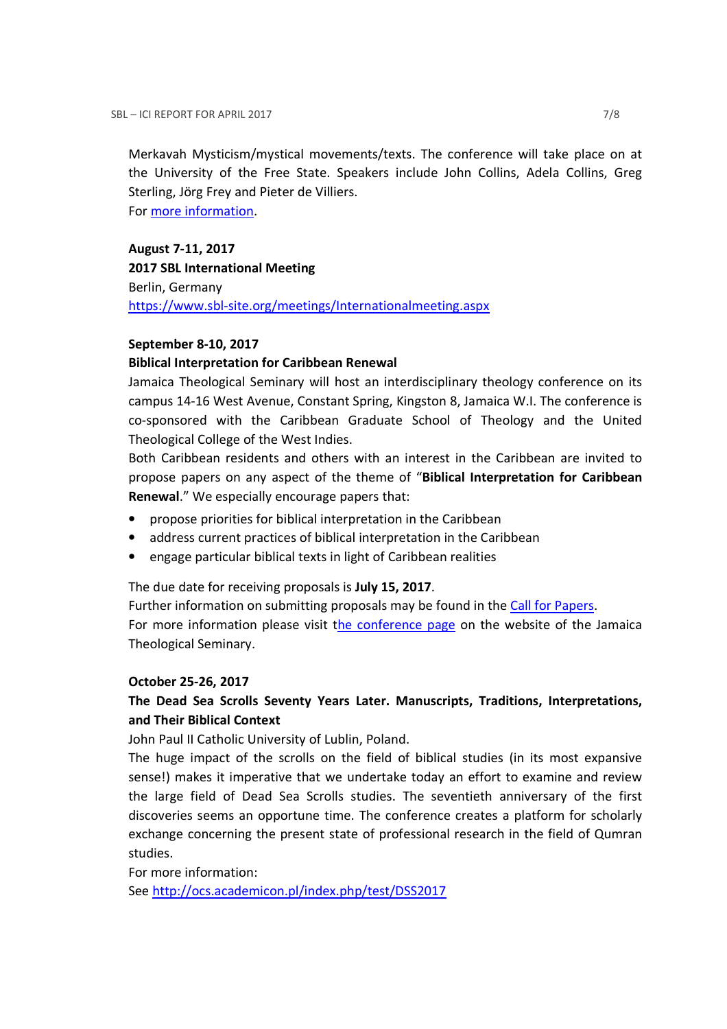Merkavah Mysticism/mystical movements/texts. The conference will take place on at the University of the Free State. Speakers include John Collins, Adela Collins, Greg Sterling, Jörg Frey and Pieter de Villiers.

For more information.

August 7-11, 2017 2017 SBL International Meeting Berlin, Germany https://www.sbl-site.org/meetings/Internationalmeeting.aspx

## September 8-10, 2017

## Biblical Interpretation for Caribbean Renewal

Jamaica Theological Seminary will host an interdisciplinary theology conference on its campus 14-16 West Avenue, Constant Spring, Kingston 8, Jamaica W.I. The conference is co-sponsored with the Caribbean Graduate School of Theology and the United Theological College of the West Indies.

Both Caribbean residents and others with an interest in the Caribbean are invited to propose papers on any aspect of the theme of "Biblical Interpretation for Caribbean Renewal." We especially encourage papers that:

- propose priorities for biblical interpretation in the Caribbean
- address current practices of biblical interpretation in the Caribbean
- engage particular biblical texts in light of Caribbean realities

The due date for receiving proposals is July 15, 2017.

Further information on submitting proposals may be found in the Call for Papers.

For more information please visit the conference page on the website of the Jamaica Theological Seminary.

#### October 25-26, 2017

## The Dead Sea Scrolls Seventy Years Later. Manuscripts, Traditions, Interpretations, and Their Biblical Context

John Paul II Catholic University of Lublin, Poland.

The huge impact of the scrolls on the field of biblical studies (in its most expansive sense!) makes it imperative that we undertake today an effort to examine and review the large field of Dead Sea Scrolls studies. The seventieth anniversary of the first discoveries seems an opportune time. The conference creates a platform for scholarly exchange concerning the present state of professional research in the field of Qumran studies.

For more information:

See http://ocs.academicon.pl/index.php/test/DSS2017